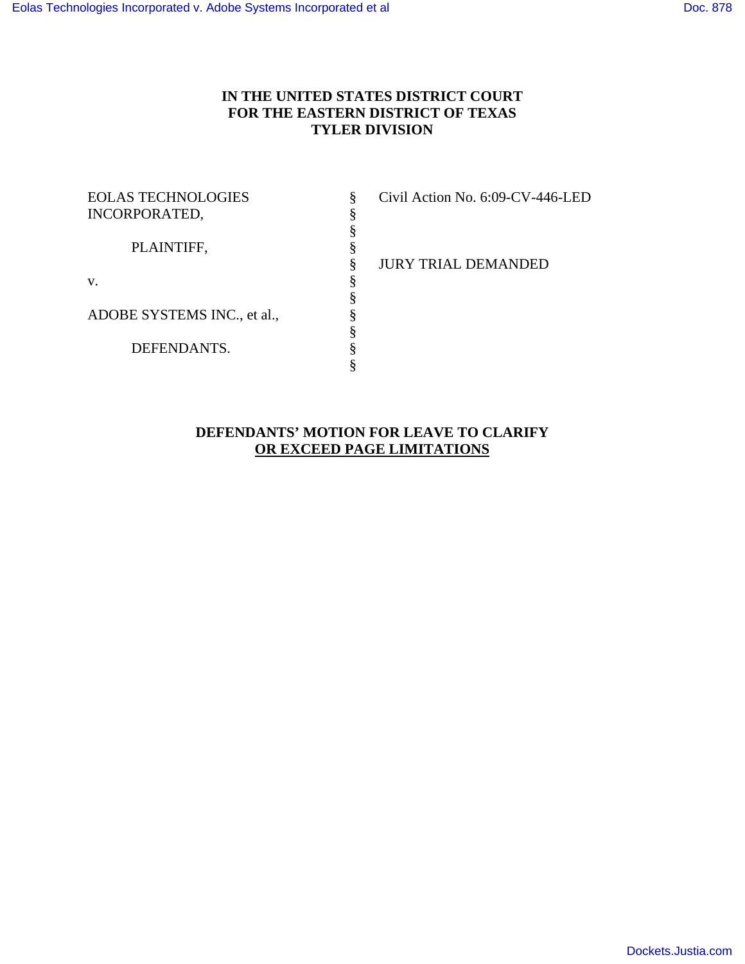# **IN THE UNITED STATES DISTRICT COURT FOR THE EASTERN DISTRICT OF TEXAS TYLER DIVISION**

| <b>EOLAS TECHNOLOGIES</b>   |  |
|-----------------------------|--|
| <b>INCORPORATED,</b>        |  |
|                             |  |
| PLAINTIFF,                  |  |
|                             |  |
| v.                          |  |
|                             |  |
| ADOBE SYSTEMS INC., et al., |  |
|                             |  |
| DEFENDANTS.                 |  |
|                             |  |

Civil Action No. 6:09-CV-446-LED

§ JURY TRIAL DEMANDED

# **DEFENDANTS' MOTION FOR LEAVE TO CLARIFY OR EXCEED PAGE LIMITATIONS**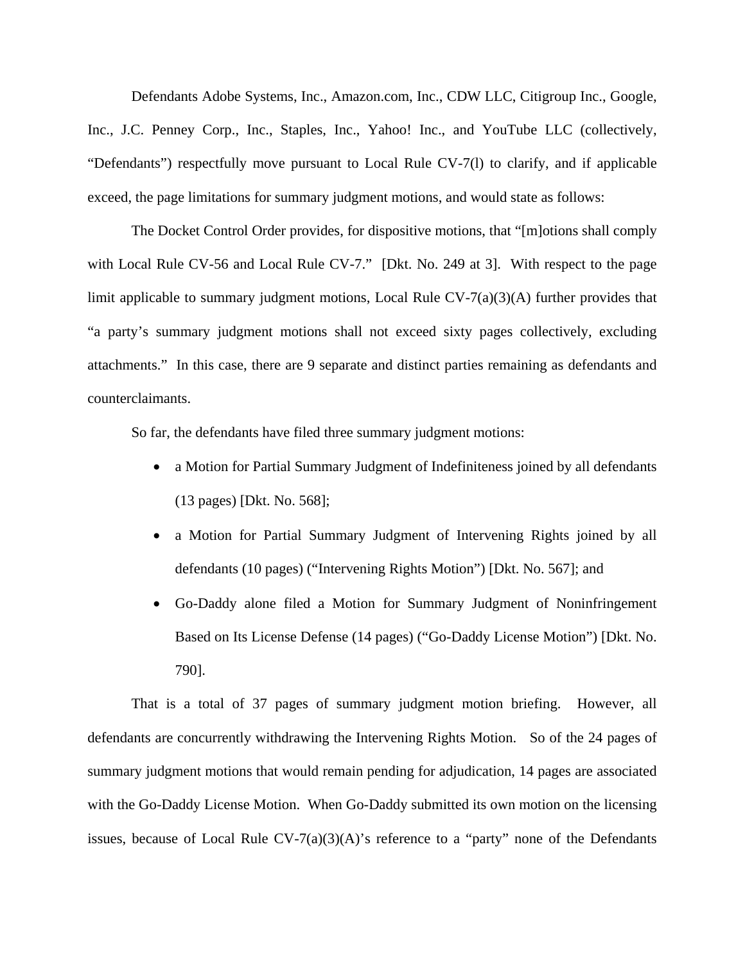Defendants Adobe Systems, Inc., Amazon.com, Inc., CDW LLC, Citigroup Inc., Google, Inc., J.C. Penney Corp., Inc., Staples, Inc., Yahoo! Inc., and YouTube LLC (collectively, "Defendants") respectfully move pursuant to Local Rule CV-7(l) to clarify, and if applicable exceed, the page limitations for summary judgment motions, and would state as follows:

The Docket Control Order provides, for dispositive motions, that "[m]otions shall comply with Local Rule CV-56 and Local Rule CV-7." [Dkt. No. 249 at 3]. With respect to the page limit applicable to summary judgment motions, Local Rule CV-7(a)(3)(A) further provides that "a party's summary judgment motions shall not exceed sixty pages collectively, excluding attachments." In this case, there are 9 separate and distinct parties remaining as defendants and counterclaimants.

So far, the defendants have filed three summary judgment motions:

- a Motion for Partial Summary Judgment of Indefiniteness joined by all defendants (13 pages) [Dkt. No. 568];
- a Motion for Partial Summary Judgment of Intervening Rights joined by all defendants (10 pages) ("Intervening Rights Motion") [Dkt. No. 567]; and
- Go-Daddy alone filed a Motion for Summary Judgment of Noninfringement Based on Its License Defense (14 pages) ("Go-Daddy License Motion") [Dkt. No. 790].

That is a total of 37 pages of summary judgment motion briefing. However, all defendants are concurrently withdrawing the Intervening Rights Motion. So of the 24 pages of summary judgment motions that would remain pending for adjudication, 14 pages are associated with the Go-Daddy License Motion. When Go-Daddy submitted its own motion on the licensing issues, because of Local Rule  $CV^{-7}(a)(3)(A)$ 's reference to a "party" none of the Defendants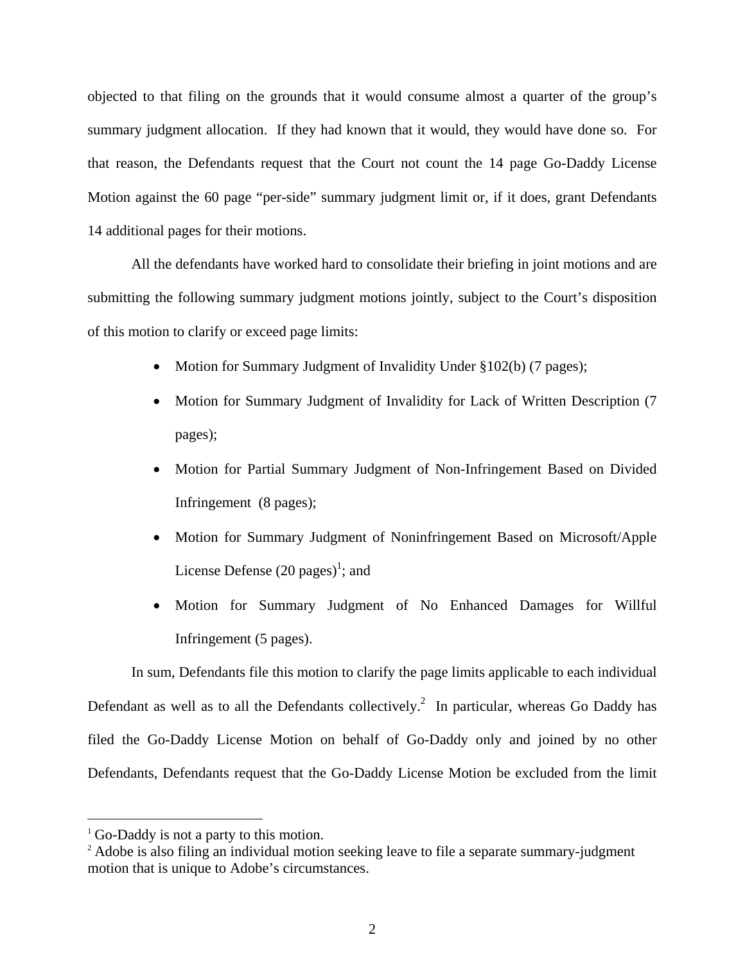objected to that filing on the grounds that it would consume almost a quarter of the group's summary judgment allocation. If they had known that it would, they would have done so. For that reason, the Defendants request that the Court not count the 14 page Go-Daddy License Motion against the 60 page "per-side" summary judgment limit or, if it does, grant Defendants 14 additional pages for their motions.

All the defendants have worked hard to consolidate their briefing in joint motions and are submitting the following summary judgment motions jointly, subject to the Court's disposition of this motion to clarify or exceed page limits:

- Motion for Summary Judgment of Invalidity Under §102(b) (7 pages);
- Motion for Summary Judgment of Invalidity for Lack of Written Description (7) pages);
- Motion for Partial Summary Judgment of Non-Infringement Based on Divided Infringement (8 pages);
- Motion for Summary Judgment of Noninfringement Based on Microsoft/Apple License Defense  $(20 \text{ pages})^1$ ; and
- Motion for Summary Judgment of No Enhanced Damages for Willful Infringement (5 pages).

In sum, Defendants file this motion to clarify the page limits applicable to each individual Defendant as well as to all the Defendants collectively.<sup>2</sup> In particular, whereas Go Daddy has filed the Go-Daddy License Motion on behalf of Go-Daddy only and joined by no other Defendants, Defendants request that the Go-Daddy License Motion be excluded from the limit

 $\overline{a}$ 

<sup>&</sup>lt;sup>1</sup> Go-Daddy is not a party to this motion.

<sup>&</sup>lt;sup>2</sup> Adobe is also filing an individual motion seeking leave to file a separate summary-judgment motion that is unique to Adobe's circumstances.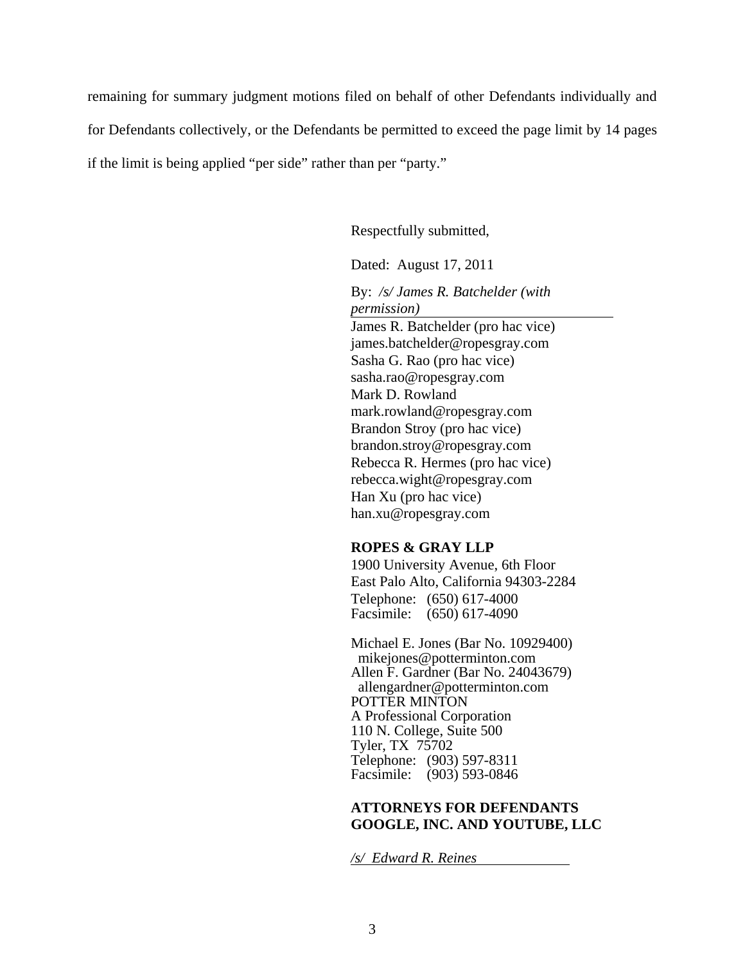remaining for summary judgment motions filed on behalf of other Defendants individually and for Defendants collectively, or the Defendants be permitted to exceed the page limit by 14 pages if the limit is being applied "per side" rather than per "party."

Respectfully submitted,

Dated: August 17, 2011

By: */s/ James R. Batchelder (with permission)*

James R. Batchelder (pro hac vice) james.batchelder@ropesgray.com Sasha G. Rao (pro hac vice) sasha.rao@ropesgray.com Mark D. Rowland mark.rowland@ropesgray.com Brandon Stroy (pro hac vice) brandon.stroy@ropesgray.com Rebecca R. Hermes (pro hac vice) rebecca.wight@ropesgray.com Han Xu (pro hac vice) han.xu@ropesgray.com

#### **ROPES & GRAY LLP**

1900 University Avenue, 6th Floor East Palo Alto, California 94303-2284 Telephone: (650) 617-4000 Facsimile: (650) 617-4090

Michael E. Jones (Bar No. 10929400) mikejones@potterminton.com Allen F. Gardner (Bar No. 24043679) allengardner@potterminton.com POTTER MINTON A Professional Corporation 110 N. College, Suite 500 Tyler, TX 75702 Telephone: (903) 597-8311 Facsimile: (903) 593-0846

#### **ATTORNEYS FOR DEFENDANTS GOOGLE, INC. AND YOUTUBE, LLC**

*/s/ Edward R. Reines*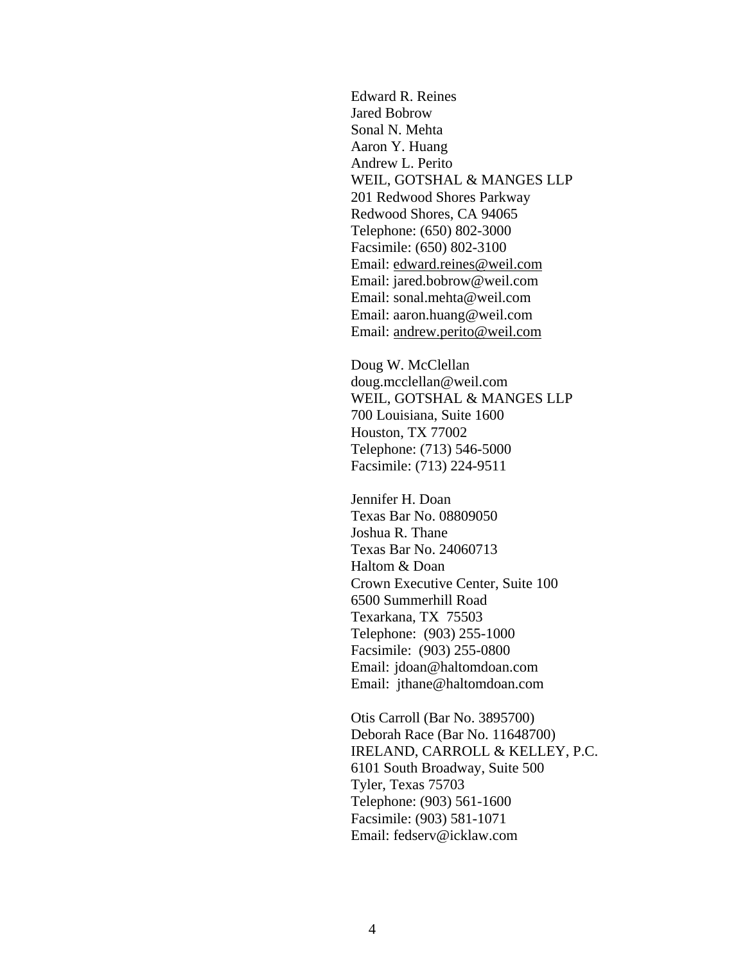Edward R. Reines Jared Bobrow Sonal N. Mehta Aaron Y. Huang Andrew L. Perito WEIL, GOTSHAL & MANGES LLP 201 Redwood Shores Parkway Redwood Shores, CA 94065 Telephone: (650) 802-3000 Facsimile: (650) 802-3100 Email: edward.reines@weil.com Email: jared.bobrow@weil.com Email: sonal.mehta@weil.com Email: aaron.huang@weil.com Email: andrew.perito@weil.com

Doug W. McClellan doug.mcclellan@weil.com WEIL, GOTSHAL & MANGES LLP 700 Louisiana, Suite 1600 Houston, TX 77002 Telephone: (713) 546-5000 Facsimile: (713) 224-9511

Jennifer H. Doan Texas Bar No. 08809050 Joshua R. Thane Texas Bar No. 24060713 Haltom & Doan Crown Executive Center, Suite 100 6500 Summerhill Road Texarkana, TX 75503 Telephone: (903) 255-1000 Facsimile: (903) 255-0800 Email: jdoan@haltomdoan.com Email: jthane@haltomdoan.com

Otis Carroll (Bar No. 3895700) Deborah Race (Bar No. 11648700) IRELAND, CARROLL & KELLEY, P.C. 6101 South Broadway, Suite 500 Tyler, Texas 75703 Telephone: (903) 561-1600 Facsimile: (903) 581-1071 Email: fedserv@icklaw.com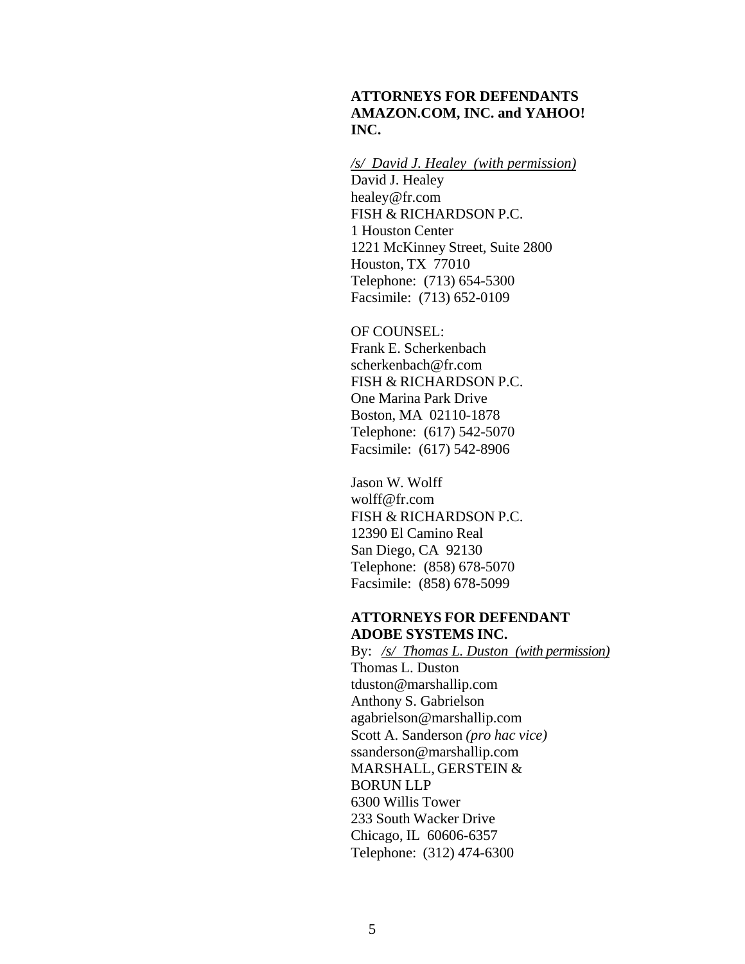## **ATTORNEYS FOR DEFENDANTS AMAZON.COM, INC. and YAHOO! INC.**

*/s/ David J. Healey (with permission)* David J. Healey healey@fr.com FISH & RICHARDSON P.C. 1 Houston Center 1221 McKinney Street, Suite 2800 Houston, TX 77010 Telephone: (713) 654-5300 Facsimile: (713) 652-0109

OF COUNSEL: Frank E. Scherkenbach scherkenbach@fr.com FISH & RICHARDSON P.C. One Marina Park Drive Boston, MA 02110-1878 Telephone: (617) 542-5070 Facsimile: (617) 542-8906

Jason W. Wolff wolff@fr.com FISH & RICHARDSON P.C. 12390 El Camino Real San Diego, CA 92130 Telephone: (858) 678-5070 Facsimile: (858) 678-5099

#### **ATTORNEYS FOR DEFENDANT ADOBE SYSTEMS INC.**

By: */s/ Thomas L. Duston (with permission)* Thomas L. Duston tduston@marshallip.com Anthony S. Gabrielson agabrielson@marshallip.com Scott A. Sanderson *(pro hac vice)*  ssanderson@marshallip.com MARSHALL, GERSTEIN & BORUN LLP 6300 Willis Tower 233 South Wacker Drive Chicago, IL 60606-6357 Telephone: (312) 474-6300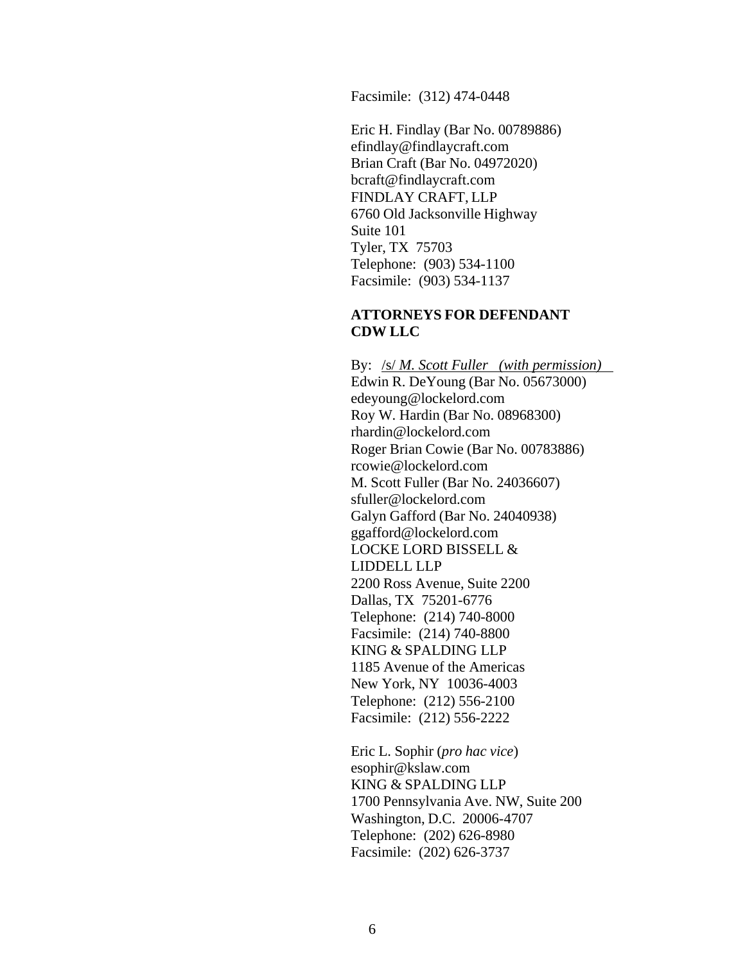Facsimile: (312) 474-0448

Eric H. Findlay (Bar No. 00789886) efindlay@findlaycraft.com Brian Craft (Bar No. 04972020) bcraft@findlaycraft.com FINDLAY CRAFT, LLP 6760 Old Jacksonville Highway Suite 101 Tyler, TX 75703 Telephone: (903) 534-1100 Facsimile: (903) 534-1137

### **ATTORNEYS FOR DEFENDANT CDW LLC**

By: /s/ *M. Scott Fuller (with permission)* Edwin R. DeYoung (Bar No. 05673000) edeyoung@lockelord.com Roy W. Hardin (Bar No. 08968300) rhardin@lockelord.com Roger Brian Cowie (Bar No. 00783886) rcowie@lockelord.com M. Scott Fuller (Bar No. 24036607) sfuller@lockelord.com Galyn Gafford (Bar No. 24040938) ggafford@lockelord.com LOCKE LORD BISSELL & LIDDELL LLP 2200 Ross Avenue, Suite 2200 Dallas, TX 75201-6776 Telephone: (214) 740-8000 Facsimile: (214) 740-8800 KING & SPALDING LLP 1185 Avenue of the Americas New York, NY 10036-4003 Telephone: (212) 556-2100 Facsimile: (212) 556-2222

Eric L. Sophir (*pro hac vice*) esophir@kslaw.com KING & SPALDING LLP 1700 Pennsylvania Ave. NW, Suite 200 Washington, D.C. 20006-4707 Telephone: (202) 626-8980 Facsimile: (202) 626-3737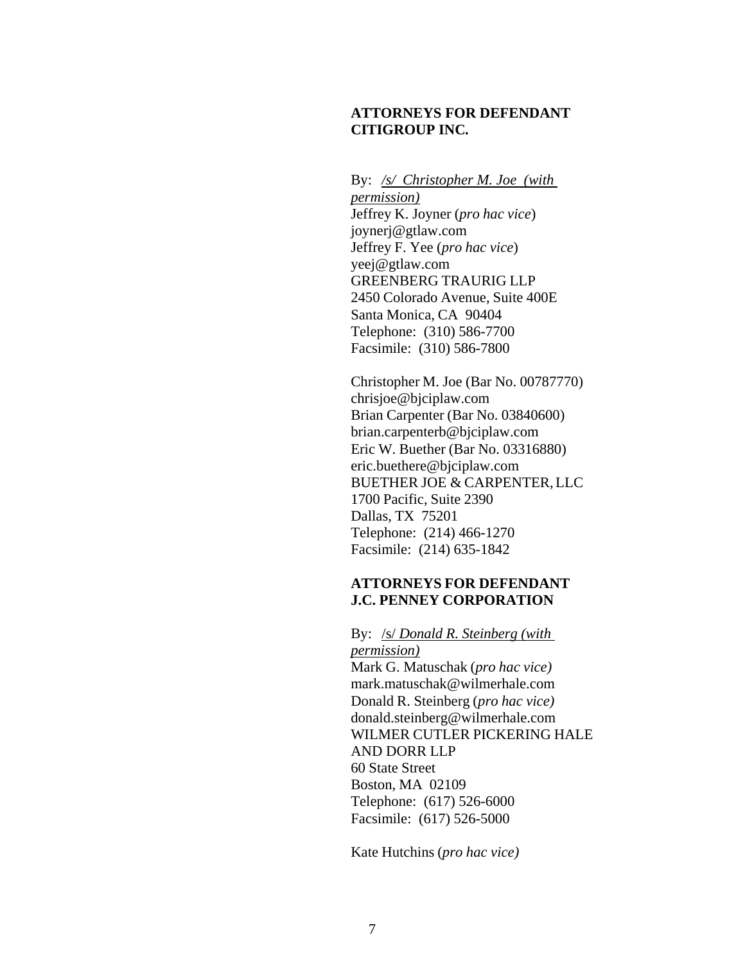## **ATTORNEYS FOR DEFENDANT CITIGROUP INC***.*

By: */s/ Christopher M. Joe (with permission)* Jeffrey K. Joyner (*pro hac vice*) joynerj@gtlaw.com Jeffrey F. Yee (*pro hac vice*) yeej@gtlaw.com GREENBERG TRAURIG LLP 2450 Colorado Avenue, Suite 400E Santa Monica, CA 90404 Telephone: (310) 586-7700 Facsimile: (310) 586-7800

Christopher M. Joe (Bar No. 00787770) chrisjoe@bjciplaw.com Brian Carpenter (Bar No. 03840600) brian.carpenterb@bjciplaw.com Eric W. Buether (Bar No. 03316880) eric.buethere@bjciplaw.com BUETHER JOE & CARPENTER, LLC 1700 Pacific, Suite 2390 Dallas, TX 75201 Telephone: (214) 466-1270 Facsimile: (214) 635-1842

## **ATTORNEYS FOR DEFENDANT J.C. PENNEY CORPORATION**

By: /s/ *Donald R. Steinberg (with permission)* Mark G. Matuschak (*pro hac vice)* mark.matuschak@wilmerhale.com Donald R. Steinberg (*pro hac vice)*  donald.steinberg@wilmerhale.com WILMER CUTLER PICKERING HALE AND DORR LLP 60 State Street Boston, MA 02109 Telephone: (617) 526-6000 Facsimile: (617) 526-5000

Kate Hutchins (*pro hac vice)*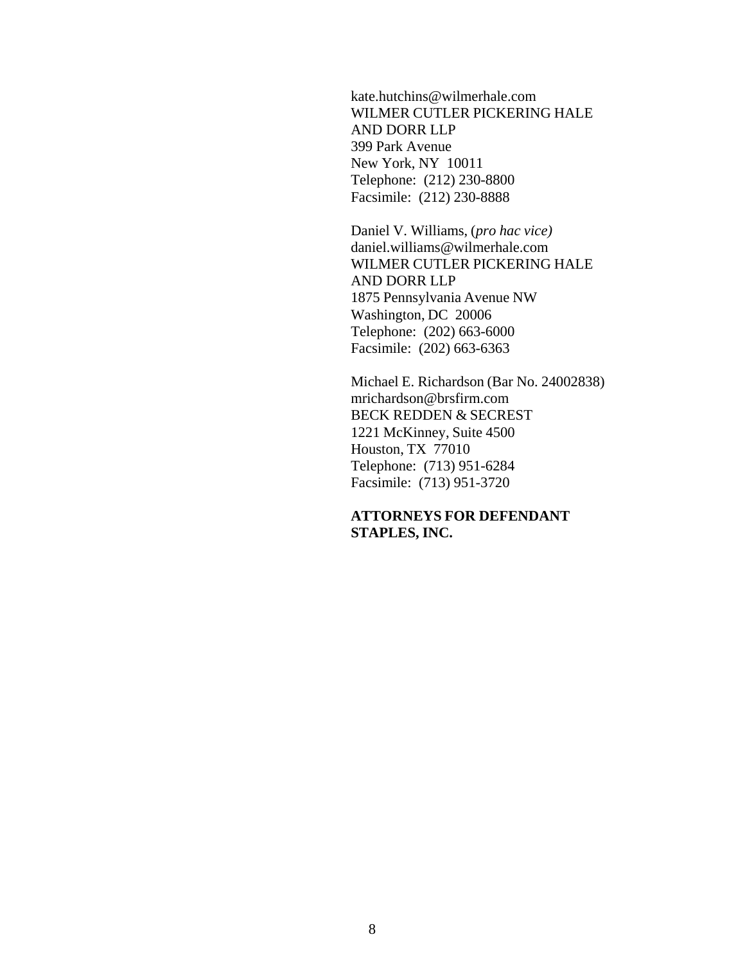kate.hutchins@wilmerhale.com WILMER CUTLER PICKERING HALE AND DORR LLP 399 Park Avenue New York, NY 10011 Telephone: (212) 230-8800 Facsimile: (212) 230-8888

Daniel V. Williams, (*pro hac vice)* daniel.williams@wilmerhale.com WILMER CUTLER PICKERING HALE AND DORR LLP 1875 Pennsylvania Avenue NW Washington, DC 20006 Telephone: (202) 663-6000 Facsimile: (202) 663-6363

Michael E. Richardson (Bar No. 24002838) mrichardson@brsfirm.com BECK REDDEN & SECREST 1221 McKinney, Suite 4500 Houston, TX 77010 Telephone: (713) 951-6284 Facsimile: (713) 951-3720

**ATTORNEYS FOR DEFENDANT STAPLES, INC.**